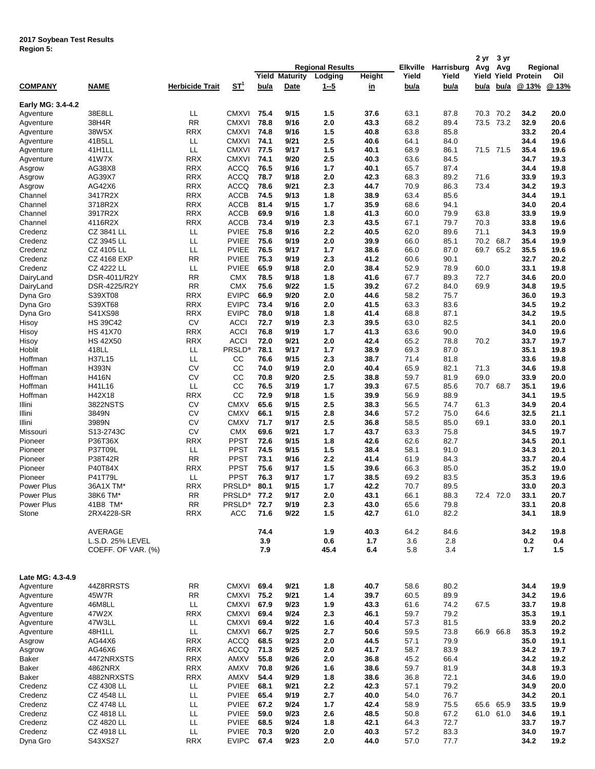## **2017 Soybean Test Results Region 5:**

|                   |                    |                 |                    |             |                 |                         |           |             | 2 yr        | 3 yr      |           |                      |          |
|-------------------|--------------------|-----------------|--------------------|-------------|-----------------|-------------------------|-----------|-------------|-------------|-----------|-----------|----------------------|----------|
|                   |                    |                 |                    |             |                 | <b>Regional Results</b> |           | Elkville    | Harrisburg  | Avg       | Avg       |                      | Regional |
|                   |                    |                 |                    | Yield       | <b>Maturity</b> | Lodging                 | Height    | Yield       | Yield       | Yield     |           | <b>Yield Protein</b> | Oil      |
| <b>COMPANY</b>    | <b>NAME</b>        | Herbicide Trait | <u>ST1</u>         | <u>bu/a</u> | Date            | <u>1-5</u>              | <u>in</u> | <u>bu/a</u> | <u>bu/a</u> | bu/a      | bu/a      | @ 13%                | @13%     |
|                   |                    |                 |                    |             |                 |                         |           |             |             |           |           |                      |          |
| Early MG: 3.4-4.2 |                    |                 |                    |             |                 |                         |           |             |             |           |           |                      |          |
| Agventure         | 38E8LL             | LL              | <b>CMXVI</b>       | 75.4        | 9/15            | 1.5                     | 37.6      | 63.1        | 87.8        | 70.3      | 70.2      | 34.2                 | 20.0     |
| Agventure         | 38H4R              | <b>RR</b>       | <b>CMXVI</b>       | 78.8        | 9/16            | 2.0                     | 43.3      | 68.2        | 89.4        | 73.5      | 73.2      | 32.9                 | 20.6     |
| Agventure         | 38W5X              | <b>RRX</b>      | <b>CMXVI</b>       | 74.8        | 9/16            | 1.5                     | 40.8      | 63.8        | 85.8        |           |           | 33.2                 | 20.4     |
| Agventure         | 41B5LL             | ᄔ               | <b>CMXVI</b>       | 74.1        | 9/21            | 2.5                     | 40.6      | 64.1        | 84.0        |           |           | 34.4                 | 19.6     |
|                   | 41H1LL             | LL              | CMXVI              | 77.5        | 9/17            | 1.5                     | 40.1      | 68.9        | 86.1        |           | 71.5 71.5 | 35.4                 | 19.6     |
| Agventure         |                    |                 |                    |             |                 |                         |           |             |             |           |           |                      |          |
| Agventure         | 41W7X              | <b>RRX</b>      | <b>CMXVI</b>       | 74.1        | 9/20            | 2.5                     | 40.3      | 63.6        | 84.5        |           |           | 34.7                 | 19.3     |
| Asgrow            | AG38X8             | <b>RRX</b>      | <b>ACCQ</b>        | 76.5        | 9/16            | 1.7                     | 40.1      | 65.7        | 87.4        |           |           | 34.4                 | 19.8     |
| Asgrow            | AG39X7             | <b>RRX</b>      | <b>ACCQ</b>        | 78.7        | 9/18            | 2.0                     | 42.3      | 68.3        | 89.2        | 71.6      |           | 33.9                 | 19.3     |
| Asgrow            | AG42X6             | <b>RRX</b>      | <b>ACCQ</b>        | 78.6        | 9/21            | 2.3                     | 44.7      | 70.9        | 86.3        | 73.4      |           | 34.2                 | 19.3     |
| Channel           | 3417R2X            | <b>RRX</b>      | <b>ACCB</b>        | 74.5        | 9/13            | 1.8                     | 38.9      | 63.4        | 85.6        |           |           | 34.4                 | 19.1     |
| Channel           | 3718R2X            | <b>RRX</b>      | <b>ACCB</b>        | 81.4        | 9/15            | 1.7                     | 35.9      | 68.6        | 94.1        |           |           | 34.0                 | 20.4     |
| Channel           | 3917R2X            | <b>RRX</b>      | <b>ACCB</b>        | 69.9        | 9/16            | 1.8                     | 41.3      | 60.0        | 79.9        | 63.8      |           | 33.9                 | 19.9     |
| Channel           | 4116R2X            | <b>RRX</b>      | <b>ACCB</b>        | 73.4        | 9/19            | 2.3                     | 43.5      | 67.1        | 79.7        | 70.3      |           | 33.8                 | 19.6     |
| Credenz           | CZ 3841 LL         | LL              | <b>PVIEE</b>       | 75.8        | 9/16            | 2.2                     | 40.5      | 62.0        | 89.6        | 71.1      |           | 34.3                 | 19.9     |
| Credenz           | CZ 3945 LL         | LL              | <b>PVIEE</b>       | 75.6        | 9/19            | 2.0                     | 39.9      | 66.0        | 85.1        | 70.2      | 68.7      | 35.4                 | 19.9     |
| Credenz           | CZ 4105 LL         | LL              | <b>PVIEE</b>       | 76.5        | 9/17            | 1.7                     | 38.6      | 66.0        | 87.0        | 69.7      | 65.2      | 35.5                 | 19.6     |
|                   |                    |                 |                    |             |                 |                         |           |             |             |           |           |                      |          |
| Credenz           | <b>CZ 4168 EXP</b> | RR              | <b>PVIEE</b>       | 75.3        | 9/19            | 2.3                     | 41.2      | 60.6        | 90.1        |           |           | 32.7                 | 20.2     |
| Credenz           | <b>CZ 4222 LL</b>  | LL              | <b>PVIEE</b>       | 65.9        | 9/18            | 2.0                     | 38.4      | 52.9        | 78.9        | 60.0      |           | 33.1                 | 19.8     |
| DairyLand         | DSR-4011/R2Y       | <b>RR</b>       | <b>CMX</b>         | 78.5        | 9/18            | 1.8                     | 41.6      | 67.7        | 89.3        | 72.7      |           | 34.6                 | 20.0     |
| DairyLand         | DSR-4225/R2Y       | <b>RR</b>       | <b>CMX</b>         | 75.6        | 9/22            | 1.5                     | 39.2      | 67.2        | 84.0        | 69.9      |           | 34.8                 | 19.5     |
| Dyna Gro          | S39XT08            | <b>RRX</b>      | <b>EVIPC</b>       | 66.9        | 9/20            | 2.0                     | 44.6      | 58.2        | 75.7        |           |           | 36.0                 | 19.3     |
| Dyna Gro          | S39XT68            | <b>RRX</b>      | <b>EVIPC</b>       | 73.4        | 9/16            | 2.0                     | 41.5      | 63.3        | 83.6        |           |           | 34.5                 | 19.2     |
| Dyna Gro          | S41XS98            | <b>RRX</b>      | <b>EVIPC</b>       | 78.0        | 9/18            | 1.8                     | 41.4      | 68.8        | 87.1        |           |           | 34.2                 | 19.5     |
| Hisoy             | <b>HS 39C42</b>    | <b>CV</b>       | <b>ACCI</b>        | 72.7        | 9/19            | 2.3                     | 39.5      | 63.0        | 82.5        |           |           | 34.1                 | 20.0     |
| Hisoy             | <b>HS 41X70</b>    | <b>RRX</b>      | <b>ACCI</b>        | 76.8        | 9/19            | 1.7                     | 41.3      | 63.6        | 90.0        |           |           | 34.0                 | 19.6     |
| Hisoy             | <b>HS 42X50</b>    | <b>RRX</b>      | <b>ACCI</b>        | 72.0        | 9/21            | 2.0                     | 42.4      | 65.2        | 78.8        | 70.2      |           | 33.7                 | 19.7     |
| Hoblit            | 418LL              | LL              | <b>PRSLD®</b>      | 78.1        | 9/17            | 1.7                     | 38.9      | 69.3        | 87.0        |           |           | 35.1                 | 19.8     |
|                   |                    | LL              | CC                 | 76.6        | 9/15            | 2.3                     |           |             |             |           |           |                      |          |
| Hoffman           | H37L15             |                 |                    |             |                 |                         | 38.7      | 71.4        | 81.8        |           |           | 33.6                 | 19.8     |
| Hoffman           | H393N              | <b>CV</b>       | CC                 | 74.0        | 9/19            | 2.0                     | 40.4      | 65.9        | 82.1        | 71.3      |           | 34.6                 | 19.8     |
| Hoffman           | H416N              | <b>CV</b>       | CC                 | 70.8        | 9/20            | 2.5                     | 38.8      | 59.7        | 81.9        | 69.0      |           | 33.9                 | 20.0     |
| Hoffman           | H41L16             | LL              | CC                 | 76.5        | 3/19            | 1.7                     | 39.3      | 67.5        | 85.6        | 70.7      | 68.7      | 35.1                 | 19.6     |
| Hoffman           | H42X18             | <b>RRX</b>      | CC                 | 72.9        | 9/18            | 1.5                     | 39.9      | 56.9        | 88.9        |           |           | 34.1                 | 19.5     |
| Illini            | 3822NSTS           | <b>CV</b>       | <b>CMXV</b>        | 65.6        | 9/15            | 2.5                     | 38.3      | 56.5        | 74.7        | 61.3      |           | 34.9                 | 20.4     |
| Illini            | 3849N              | <b>CV</b>       | <b>CMXV</b>        | 66.1        | 9/15            | 2.8                     | 34.6      | 57.2        | 75.0        | 64.6      |           | 32.5                 | 21.1     |
| Illini            | 3989N              | CV              | <b>CMXV</b>        | 71.7        | 9/17            | 2.5                     | 36.8      | 58.5        | 85.0        | 69.1      |           | 33.0                 | 20.1     |
| Missouri          | S13-2743C          | <b>CV</b>       | <b>CMX</b>         | 69.6        | 9/21            | 1.7                     | 43.7      | 63.3        | 75.8        |           |           | 34.5                 | 19.7     |
| Pioneer           | P36T36X            | <b>RRX</b>      | <b>PPST</b>        | 72.6        | 9/15            | 1.8                     | 42.6      | 62.6        | 82.7        |           |           | 34.5                 | 20.1     |
| Pioneer           | P37T09L            | LL              | <b>PPST</b>        | 74.5        | 9/15            | 1.5                     | 38.4      | 58.1        | 91.0        |           |           | 34.3                 | 20.1     |
|                   |                    | <b>RR</b>       | <b>PPST</b>        |             |                 |                         |           |             |             |           |           |                      |          |
| Pioneer           | P38T42R            |                 |                    | 73.1        | 9/16            | 2.2                     | 41.4      | 61.9        | 84.3        |           |           | 33.7                 | 20.4     |
| Pioneer           | P40T84X            | <b>RRX</b>      | <b>PPST</b>        | 75.6        | 9/17            | 1.5                     | 39.6      | 66.3        | 85.0        |           |           | 35.2                 | 19.0     |
| Pioneer           | P41T79L            | LL              | <b>PPST</b>        | 76.3        | 9/17            | 1.7                     | 38.5      | 69.2        | 83.5        |           |           | 35.3                 | 19.6     |
| Power Plus        | 36A1X TM*          | <b>RRX</b>      | <b>PRSLD®</b>      | 80.1        | 9/15            | 1.7                     | 42.2      | 70.7        | 89.5        |           |           | 33.0                 | 20.3     |
| Power Plus        | 38K6 TM*           | RR              | PRSLD <sup>®</sup> | 77.2        | 9/17            | 2.0                     | 43.1      | 66.1        | 88.3        |           | 72.4 72.0 | 33.1                 | 20.7     |
| Power Plus        | 41B8 TM*           | RR              | PRSLD <sup>®</sup> | 72.7        | 9/19            | 2.3                     | 43.0      | 65.6        | 79.8        |           |           | 33.1                 | 20.8     |
| Stone             | 2RX4228-SR         | RRX             | ACC                | 71.6        | 9/22            | 1.5                     | 42.7      | 61.0        | 82.2        |           |           | 34.1                 | 18.9     |
|                   |                    |                 |                    |             |                 |                         |           |             |             |           |           |                      |          |
|                   | AVERAGE            |                 |                    | 74.4        |                 | 1.9                     | 40.3      | 64.2        | 84.6        |           |           | 34.2                 | 19.8     |
|                   | L.S.D. 25% LEVEL   |                 |                    | 3.9         |                 | 0.6                     | 1.7       | 3.6         | 2.8         |           |           | 0.2                  | 0.4      |
|                   | COEFF. OF VAR. (%) |                 |                    | 7.9         |                 | 45.4                    | 6.4       | 5.8         | 3.4         |           |           | 1.7                  | 1.5      |
|                   |                    |                 |                    |             |                 |                         |           |             |             |           |           |                      |          |
|                   |                    |                 |                    |             |                 |                         |           |             |             |           |           |                      |          |
| Late MG: 4.3-4.9  |                    |                 |                    |             |                 |                         |           |             |             |           |           |                      |          |
|                   |                    |                 |                    |             |                 |                         |           |             |             |           |           |                      |          |
| Agventure         | 44Z8RRSTS          | RR              | CMXVI              | 69.4        | 9/21            | 1.8                     | 40.7      | 58.6        | 80.2        |           |           | 34.4                 | 19.9     |
| Agventure         | 45W7R              | RR.             | CMXVI              | 75.2        | 9/21            | 1.4                     | 39.7      | 60.5        | 89.9        |           |           | 34.2                 | 19.6     |
| Agventure         | 46M8LL             | LL.             | CMXVI 67.9         |             | 9/23            | 1.9                     | 43.3      | 61.6        | 74.2        | 67.5      |           | 33.7                 | 19.8     |
| Agventure         | 47W2X              | <b>RRX</b>      | CMXVI              | 69.4        | 9/24            | 2.3                     | 46.1      | 59.7        | 79.2        |           |           | 35.3                 | 19.1     |
| Agventure         | 47W3LL             | LL.             | <b>CMXVI</b>       | 69.4        | 9/22            | 1.6                     | 40.4      | 57.3        | 81.5        |           |           | 33.9                 | 20.2     |
| Agventure         | 48H1LL             | LL.             | <b>CMXVI</b>       | 66.7        | 9/25            | 2.7                     | 50.6      | 59.5        | 73.8        | 66.9      | 66.8      | 35.3                 | 19.2     |
| Asgrow            | AG44X6             | RRX             | <b>ACCQ</b>        | 68.5        | 9/23            | 2.0                     | 44.5      | 57.1        | 79.9        |           |           | 35.0                 | 19.1     |
| Asgrow            | AG46X6             | <b>RRX</b>      | <b>ACCQ</b>        | 71.3        | 9/25            | 2.0                     | 41.7      | 58.7        | 83.9        |           |           | 34.2                 | 19.7     |
| Baker             | 4472NRXSTS         | <b>RRX</b>      | AMXV               | 55.8        | 9/26            | 2.0                     | 36.8      | 45.2        | 66.4        |           |           | 34.2                 | 19.2     |
| Baker             | 4862NRX            | <b>RRX</b>      | AMXV               | 70.8        | 9/26            | 1.6                     | 38.6      | 59.7        | 81.9        |           |           | 34.8                 | 19.3     |
|                   |                    |                 |                    | 54.4        |                 |                         |           |             |             |           |           |                      |          |
| Baker             | 4882NRXSTS         | RRX             | AMXV               |             | 9/29            | 1.8                     | 38.6      | 36.8        | 72.1        |           |           | 34.6                 | 19.0     |
| Credenz           | CZ 4308 LL         | LL              | PVIEE              | 68.1        | 9/21            | 2.2                     | 42.3      | 57.1        | 79.2        |           |           | 34.9                 | 20.0     |
| Credenz           | CZ 4548 LL         | LL              | <b>PVIEE</b>       | 65.4        | 9/19            | 2.7                     | 40.0      | 54.0        | 76.7        |           |           | 34.2                 | 20.1     |
| Credenz           | CZ 4748 LL         | LL              | PVIEE              | 67.2        | 9/24            | 1.7                     | 42.4      | 58.9        | 75.5        | 65.6 65.9 |           | 33.5                 | 19.9     |
| Credenz           | CZ 4818 LL         | LL              | <b>PVIEE</b>       | 59.0        | 9/23            | 2.6                     | 48.5      | 50.8        | 67.2        |           | 61.0 61.0 | 34.6                 | 19.1     |
| Credenz           | CZ 4820 LL         | LL              | <b>PVIEE</b>       | 68.5        | 9/24            | 1.8                     | 42.1      | 64.3        | 72.7        |           |           | 33.7                 | 19.7     |
| Credenz           | CZ 4918 LL         | LL              | <b>PVIEE</b>       | 70.3        | 9/20            | 2.0                     | 40.3      | 57.2        | 83.3        |           |           | 34.0                 | 19.7     |
| Dyna Gro          | S43XS27            | <b>RRX</b>      | <b>EVIPC</b>       | 67.4        | 9/23            | 2.0                     | 44.0      | 57.0        | 77.7        |           |           | 34.2                 | 19.2     |